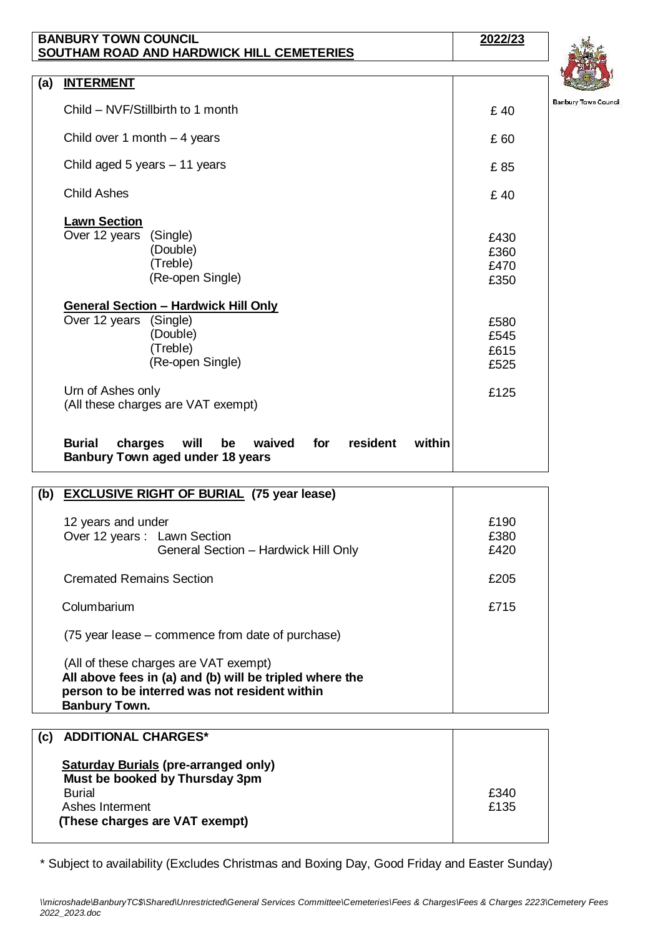| <b>BANBURY TOWN COUNCIL</b><br>SOUTHAM ROAD AND HARDWICK HILL CEMETERIES |                                                                                                                   | 2022/23                      |
|--------------------------------------------------------------------------|-------------------------------------------------------------------------------------------------------------------|------------------------------|
|                                                                          |                                                                                                                   | Ŋ                            |
| (a)                                                                      | <b>INTERMENT</b>                                                                                                  |                              |
|                                                                          | Child - NVF/Stillbirth to 1 month                                                                                 | Ban<br>£40                   |
|                                                                          | Child over 1 month $-4$ years                                                                                     | £60                          |
|                                                                          | Child aged 5 years - 11 years                                                                                     | £85                          |
|                                                                          | <b>Child Ashes</b>                                                                                                | £40                          |
|                                                                          | <b>Lawn Section</b><br>Over 12 years<br>(Single)<br>(Double)<br>(Treble)<br>(Re-open Single)                      | £430<br>£360<br>£470<br>£350 |
|                                                                          | <b>General Section - Hardwick Hill Only</b><br>Over 12 years (Single)<br>(Double)<br>(Treble)<br>(Re-open Single) | £580<br>£545<br>£615<br>£525 |
|                                                                          | Urn of Ashes only<br>(All these charges are VAT exempt)                                                           | £125                         |
|                                                                          | waived for<br>resident<br>within<br><b>Burial</b><br>charges<br>will<br>be<br>Banbury Town aged under 18 years    |                              |
|                                                                          | (b) EXCLUSIVE RIGHT OF BURIAL (75 year lease)                                                                     |                              |

| $L \sim 0.000$                                                                                                                                                            |                      |
|---------------------------------------------------------------------------------------------------------------------------------------------------------------------------|----------------------|
| 12 years and under<br>Over 12 years: Lawn Section<br>General Section - Hardwick Hill Only                                                                                 | £190<br>£380<br>£420 |
| <b>Cremated Remains Section</b>                                                                                                                                           | £205                 |
| Columbarium                                                                                                                                                               | £715                 |
| (75 year lease – commence from date of purchase)                                                                                                                          |                      |
| (All of these charges are VAT exempt)<br>All above fees in (a) and (b) will be tripled where the<br>person to be interred was not resident within<br><b>Banbury Town.</b> |                      |

| (c) | <b>ADDITIONAL CHARGES*</b>                                                    |      |
|-----|-------------------------------------------------------------------------------|------|
|     | <b>Saturday Burials (pre-arranged only)</b><br>Must be booked by Thursday 3pm |      |
|     | <b>Burial</b>                                                                 | £340 |
|     | Ashes Interment                                                               | £135 |
|     | (These charges are VAT exempt)                                                |      |
|     |                                                                               |      |

\* Subject to availability (Excludes Christmas and Boxing Day, Good Friday and Easter Sunday)



ıbury Tawn Gaunail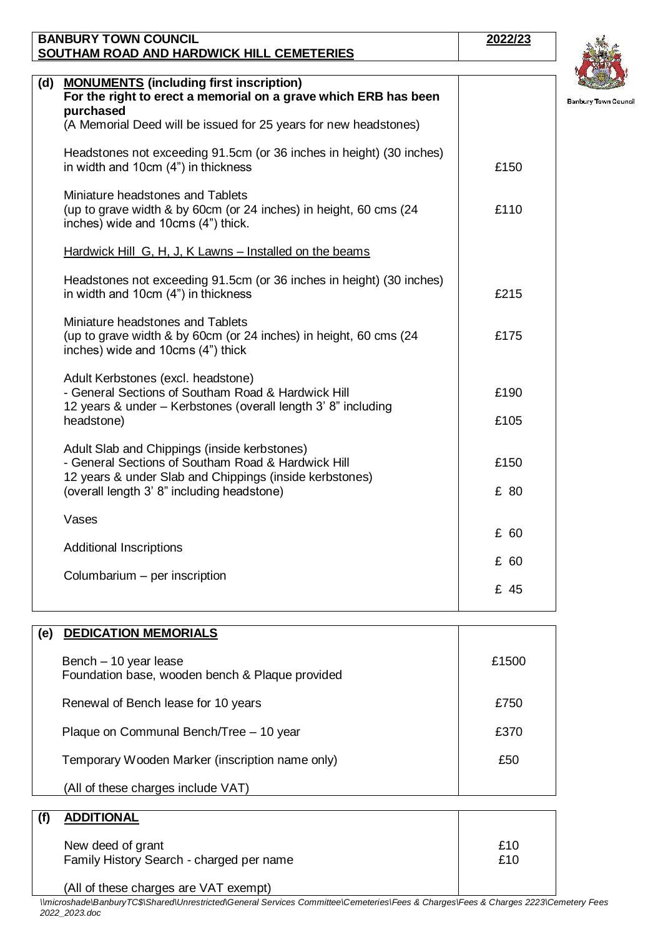|     | <b>BANBURY TOWN COUNCIL</b>                                          | 2022/23 |                            |
|-----|----------------------------------------------------------------------|---------|----------------------------|
|     | SOUTHAM ROAD AND HARDWICK HILL CEMETERIES                            |         |                            |
|     |                                                                      |         |                            |
| (d) | <b>MONUMENTS</b> (including first inscription)                       |         |                            |
|     | For the right to erect a memorial on a grave which ERB has been      |         | <b>Banbury Town Counci</b> |
|     | purchased                                                            |         |                            |
|     | (A Memorial Deed will be issued for 25 years for new headstones)     |         |                            |
|     | Headstones not exceeding 91.5cm (or 36 inches in height) (30 inches) |         |                            |
|     | in width and 10cm (4") in thickness                                  | £150    |                            |
|     | Miniature headstones and Tablets                                     |         |                            |
|     | (up to grave width & by 60cm (or 24 inches) in height, 60 cms (24    | £110    |                            |
|     | inches) wide and 10cms (4") thick.                                   |         |                            |
|     |                                                                      |         |                            |
|     | Hardwick Hill G, H, J, K Lawns – Installed on the beams              |         |                            |

£215

£175

| Adult Kerbstones (excl. headstone)<br>- General Sections of Southam Road & Hardwick Hill<br>12 years & under – Kerbstones (overall length 3' 8" including | £190 |
|-----------------------------------------------------------------------------------------------------------------------------------------------------------|------|
| headstone)                                                                                                                                                | £105 |
| Adult Slab and Chippings (inside kerbstones)<br>- General Sections of Southam Road & Hardwick Hill                                                        | £150 |
| 12 years & under Slab and Chippings (inside kerbstones)<br>(overall length 3' 8" including headstone)                                                     | £ 80 |
| Vases                                                                                                                                                     |      |
| Additional Inscriptions                                                                                                                                   | £60  |
|                                                                                                                                                           | £ 60 |
| Columbarium - per inscription                                                                                                                             | £ 45 |

Headstones not exceeding 91.5cm (or 36 inches in height) (30 inches)

(up to grave width & by 60cm (or 24 inches) in height, 60 cms (24

in width and 10cm (4") in thickness

Miniature headstones and Tablets

inches) wide and 10cms (4") thick

| (e) | <b>DEDICATION MEMORIALS</b>                                              |            |
|-----|--------------------------------------------------------------------------|------------|
|     | Bench - 10 year lease<br>Foundation base, wooden bench & Plaque provided | £1500      |
|     | Renewal of Bench lease for 10 years                                      | £750       |
|     | Plaque on Communal Bench/Tree - 10 year                                  | £370       |
|     | Temporary Wooden Marker (inscription name only)                          | £50        |
|     | (All of these charges include VAT)                                       |            |
|     |                                                                          |            |
| (f) | <b>ADDITIONAL</b>                                                        |            |
|     | New deed of grant<br>Family History Search - charged per name            | £10<br>£10 |

(All of these charges are VAT exempt)

*\\microshade\BanburyTC\$\Shared\Unrestricted\General Services Committee\Cemeteries\Fees & Charges\Fees & Charges 2223\Cemetery Fees 2022\_2023.doc*